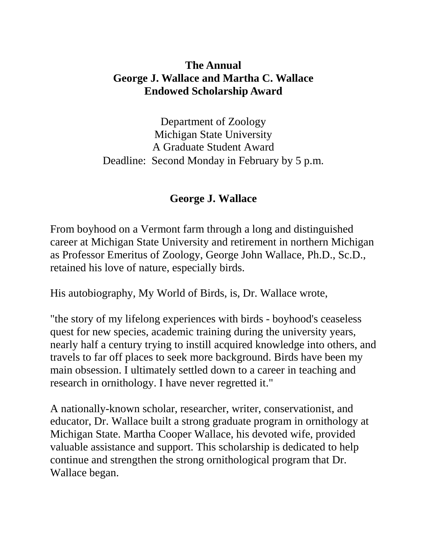# **The Annual George J. Wallace and Martha C. Wallace Endowed Scholarship Award**

Department of Zoology Michigan State University A Graduate Student Award Deadline: Second Monday in February by 5 p.m.

# **George J. Wallace**

From boyhood on a Vermont farm through a long and distinguished career at Michigan State University and retirement in northern Michigan as Professor Emeritus of Zoology, George John Wallace, Ph.D., Sc.D., retained his love of nature, especially birds.

His autobiography, My World of Birds, is, Dr. Wallace wrote,

"the story of my lifelong experiences with birds - boyhood's ceaseless quest for new species, academic training during the university years, nearly half a century trying to instill acquired knowledge into others, and travels to far off places to seek more background. Birds have been my main obsession. I ultimately settled down to a career in teaching and research in ornithology. I have never regretted it."

A nationally-known scholar, researcher, writer, conservationist, and educator, Dr. Wallace built a strong graduate program in ornithology at Michigan State. Martha Cooper Wallace, his devoted wife, provided valuable assistance and support. This scholarship is dedicated to help continue and strengthen the strong ornithological program that Dr. Wallace began.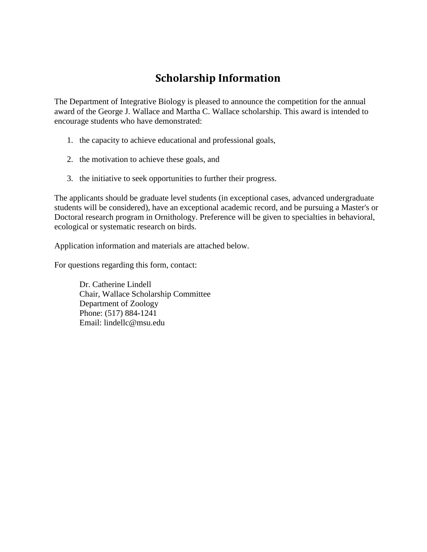# **Scholarship Information**

The Department of Integrative Biology is pleased to announce the competition for the annual award of the George J. Wallace and Martha C. Wallace scholarship. This award is intended to encourage students who have demonstrated:

- 1. the capacity to achieve educational and professional goals,
- 2. the motivation to achieve these goals, and
- 3. the initiative to seek opportunities to further their progress.

The applicants should be graduate level students (in exceptional cases, advanced undergraduate students will be considered), have an exceptional academic record, and be pursuing a Master's or Doctoral research program in Ornithology. Preference will be given to specialties in behavioral, ecological or systematic research on birds.

Application information and materials are attached below.

For questions regarding this form, contact:

Dr. Catherine Lindell Chair, Wallace Scholarship Committee Department of Zoology Phone: (517) 884-1241 Email: lindellc@msu.edu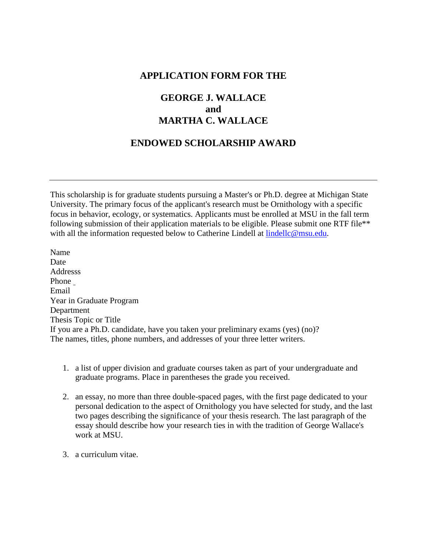#### **APPLICATION FORM FOR THE**

## **GEORGE J. WALLACE and MARTHA C. WALLACE**

### **ENDOWED SCHOLARSHIP AWARD**

This scholarship is for graduate students pursuing a Master's or Ph.D. degree at Michigan State University. The primary focus of the applicant's research must be Ornithology with a specific focus in behavior, ecology, or systematics. Applicants must be enrolled at MSU in the fall term following submission of their application materials to be eligible. Please submit one RTF file\*\* with all the information requested below to Catherine Lindell at [lindellc@msu.edu.](mailto:lindellc@msu.edu)

Name Date Addresss Phone Email Year in Graduate Program Department Thesis Topic or Title If you are a Ph.D. candidate, have you taken your preliminary exams (yes) (no)? The names, titles, phone numbers, and addresses of your three letter writers.

- 1. a list of upper division and graduate courses taken as part of your undergraduate and graduate programs. Place in parentheses the grade you received.
- 2. an essay, no more than three double-spaced pages, with the first page dedicated to your personal dedication to the aspect of Ornithology you have selected for study, and the last two pages describing the significance of your thesis research. The last paragraph of the essay should describe how your research ties in with the tradition of George Wallace's work at MSU.
- 3. a curriculum vitae.